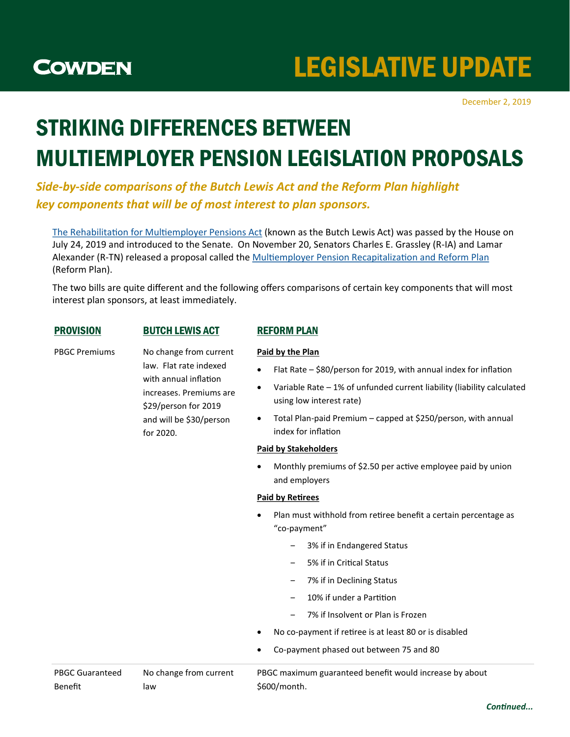

# LEGISLATIVE UPDATE

December 2, 2019

## STRIKING DIFFERENCES BETWEEN MULTIEMPLOYER PENSION LEGISLATION PROPOSALS

*Side-by-side comparisons of the Butch Lewis Act and the Reform Plan highlight key components that will be of most interest to plan sponsors.*

[The Rehabilitation for Multiemployer Pensions Act](https://www.congress.gov/bill/116th-congress/senate-bill/2254) (known as the Butch Lewis Act) was passed by the House on July 24, 2019 and introduced to the Senate. On November 20, Senators Charles E. Grassley (R-IA) and Lamar Alexander (R-TN) released a proposal called the [Multiemployer Pension Recapitalization and Reform Plan](https://www.finance.senate.gov/imo/media/doc/2019-11-20%20Multiemployer%20Pension%20Recapitalization%20and%20Reform%20Plan%20White%20Paper.pdf) (Reform Plan).

The two bills are quite different and the following offers comparisons of certain key components that will most interest plan sponsors, at least immediately.

## PROVISION BUTCH LEWIS ACT REFORM PLAN

PBGC Premiums No change from current

law. Flat rate indexed with annual inflation increases. Premiums are \$29/person for 2019 and will be \$30/person for 2020.

**Paid by the Plan**

- Flat Rate \$80/person for 2019, with annual index for inflation
- Variable Rate 1% of unfunded current liability (liability calculated using low interest rate)
- Total Plan-paid Premium capped at \$250/person, with annual index for inflation

### **Paid by Stakeholders**

 Monthly premiums of \$2.50 per active employee paid by union and employers

### **Paid by Retirees**

- Plan must withhold from retiree benefit a certain percentage as "co-payment"
	- ‒ 3% if in Endangered Status
	- ‒ 5% if in Critical Status
	- ‒ 7% if in Declining Status
	- ‒ 10% if under a Partition
	- ‒ 7% if Insolvent or Plan is Frozen
- No co-payment if retiree is at least 80 or is disabled
- Co-payment phased out between 75 and 80

| <b>PBGC Guaranteed</b> | No change from current | PBGC maximum guaranteed benefit would increase by about |
|------------------------|------------------------|---------------------------------------------------------|
| Benefit                | law                    | S600/month.                                             |